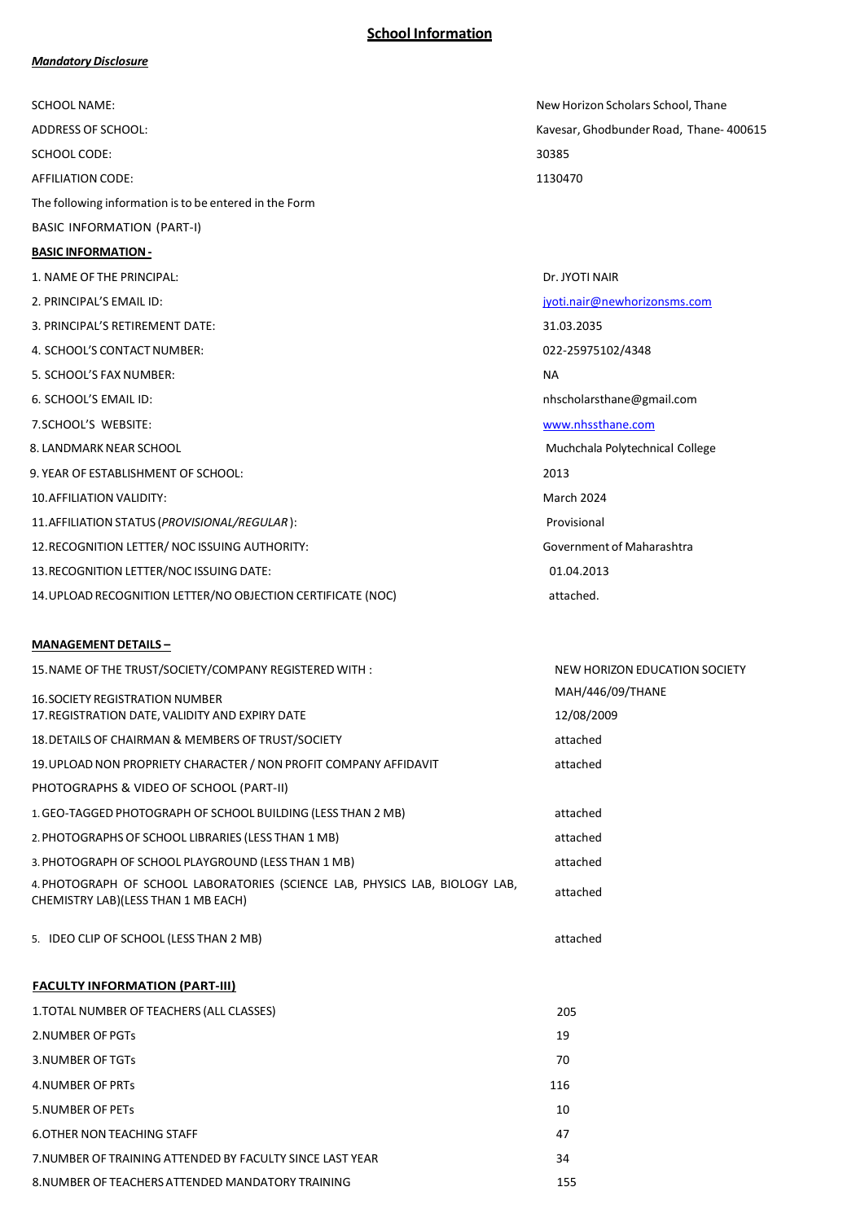## **School Information**

#### *Mandatory Disclosure*

| <b>SCHOOL NAME:</b>                                          | New Horizon Scholars School, Thane      |
|--------------------------------------------------------------|-----------------------------------------|
| <b>ADDRESS OF SCHOOL:</b>                                    | Kavesar, Ghodbunder Road, Thane- 400615 |
| <b>SCHOOL CODE:</b>                                          | 30385                                   |
| <b>AFFILIATION CODE:</b>                                     | 1130470                                 |
| The following information is to be entered in the Form       |                                         |
| <b>BASIC INFORMATION (PART-I)</b>                            |                                         |
| <b>BASIC INFORMATION -</b>                                   |                                         |
| 1. NAME OF THE PRINCIPAL:                                    | Dr. JYOTI NAIR                          |
| 2. PRINCIPAL'S EMAIL ID:                                     | jyoti.nair@newhorizonsms.com            |
| 3. PRINCIPAL'S RETIREMENT DATE:                              | 31.03.2035                              |
| 4. SCHOOL'S CONTACT NUMBER:                                  | 022-25975102/4348                       |
| 5. SCHOOL'S FAX NUMBER:                                      | <b>NA</b>                               |
| 6. SCHOOL'S EMAIL ID:                                        | nhscholarsthane@gmail.com               |
| 7. SCHOOL'S WEBSITE:                                         | www.nhssthane.com                       |
| 8. LANDMARK NEAR SCHOOL                                      | Muchchala Polytechnical College         |
| 9. YEAR OF ESTABLISHMENT OF SCHOOL:                          | 2013                                    |
| <b>10. AFFILIATION VALIDITY:</b>                             | March 2024                              |
| 11. AFFILIATION STATUS (PROVISIONAL/REGULAR):                | Provisional                             |
| 12. RECOGNITION LETTER/ NOC ISSUING AUTHORITY:               | Government of Maharashtra               |
| 13. RECOGNITION LETTER/NOC ISSUING DATE:                     | 01.04.2013                              |
| 14. UPLOAD RECOGNITION LETTER/NO OBJECTION CERTIFICATE (NOC) | attached.                               |
|                                                              |                                         |

## **MANAGEMENT DETAILS –**

| 15. NAME OF THE TRUST/SOCIETY/COMPANY REGISTERED WITH:                                                              | NEW HORIZON EDUCATION SOCIETY |
|---------------------------------------------------------------------------------------------------------------------|-------------------------------|
| <b>16. SOCIETY REGISTRATION NUMBER</b>                                                                              | MAH/446/09/THANE              |
| 17. REGISTRATION DATE, VALIDITY AND EXPIRY DATE                                                                     | 12/08/2009                    |
| 18. DETAILS OF CHAIRMAN & MEMBERS OF TRUST/SOCIETY                                                                  | attached                      |
| 19. UPLOAD NON PROPRIETY CHARACTER / NON PROFIT COMPANY AFFIDAVIT                                                   | attached                      |
| PHOTOGRAPHS & VIDEO OF SCHOOL (PART-II)                                                                             |                               |
| 1. GEO-TAGGED PHOTOGRAPH OF SCHOOL BUILDING (LESS THAN 2 MB)                                                        | attached                      |
| 2. PHOTOGRAPHS OF SCHOOL LIBRARIES (LESS THAN 1 MB)                                                                 | attached                      |
| 3. PHOTOGRAPH OF SCHOOL PLAYGROUND (LESS THAN 1 MB)                                                                 | attached                      |
| 4. PHOTOGRAPH OF SCHOOL LABORATORIES (SCIENCE LAB, PHYSICS LAB, BIOLOGY LAB,<br>CHEMISTRY LAB)(LESS THAN 1 MB EACH) | attached                      |
| 5. IDEO CLIP OF SCHOOL (LESS THAN 2 MB)                                                                             | attached                      |
| <b>FACULTY INFORMATION (PART-III)</b>                                                                               |                               |
| 1. TOTAL NUMBER OF TEACHERS (ALL CLASSES)                                                                           | 205                           |
| 2.NUMBER OF PGTs                                                                                                    | 19                            |
| <b>3.NUMBER OF TGTs</b>                                                                                             | 70                            |
| 4.NUMBER OF PRTS                                                                                                    | 116                           |
| <b>5.NUMBER OF PETS</b>                                                                                             | 10                            |
| <b>6.OTHER NON TEACHING STAFF</b>                                                                                   | 47                            |
| 7. NUMBER OF TRAINING ATTENDED BY FACULTY SINCE LAST YEAR                                                           | 34                            |
| 8. NUMBER OF TEACHERS ATTENDED MANDATORY TRAINING                                                                   | 155                           |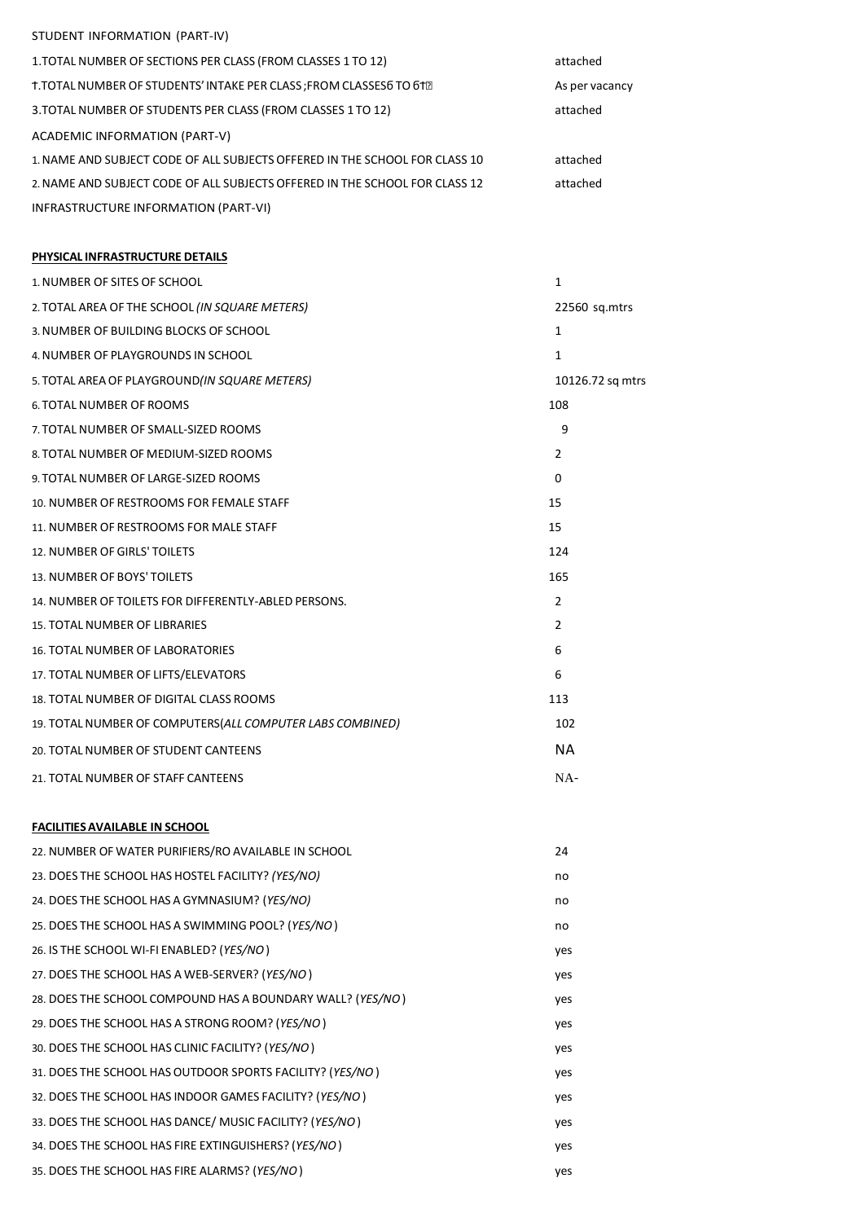## STUDENT INFORMATION (PART-IV)

| 1. TOTAL NUMBER OF SECTIONS PER CLASS (FROM CLASSES 1 TO 12)                | attached       |
|-----------------------------------------------------------------------------|----------------|
| T. TOTAL NUMBER OF STUDENTS' INTAKE PER CLASS ; FROM CLASSES 6 TO 612       | As per vacancy |
| 3. TOTAL NUMBER OF STUDENTS PER CLASS (FROM CLASSES 1 TO 12)                | attached       |
| ACADEMIC INFORMATION (PART-V)                                               |                |
| 1. NAME AND SUBJECT CODE OF ALL SUBJECTS OFFERED IN THE SCHOOL FOR CLASS 10 | attached       |
| 2. NAME AND SUBJECT CODE OF ALL SUBJECTS OFFERED IN THE SCHOOL FOR CLASS 12 | attached       |
| INFRASTRUCTURE INFORMATION (PART-VI)                                        |                |

### **PHYSICAL INFRASTRUCTURE DETAILS**

| 1. NUMBER OF SITES OF SCHOOL                               | $\mathbf{1}$     |
|------------------------------------------------------------|------------------|
| 2. TOTAL AREA OF THE SCHOOL (IN SQUARE METERS)             | 22560 sq.mtrs    |
| 3. NUMBER OF BUILDING BLOCKS OF SCHOOL                     | 1                |
| 4. NUMBER OF PLAYGROUNDS IN SCHOOL                         | 1                |
| 5. TOTAL AREA OF PLAYGROUND(IN SQUARE METERS)              | 10126.72 sq mtrs |
| 6. TOTAL NUMBER OF ROOMS                                   | 108              |
| 7. TOTAL NUMBER OF SMALL-SIZED ROOMS                       | 9                |
| 8. TOTAL NUMBER OF MEDIUM-SIZED ROOMS                      | $\overline{2}$   |
| 9. TOTAL NUMBER OF LARGE-SIZED ROOMS                       | 0                |
| 10. NUMBER OF RESTROOMS FOR FEMALE STAFF                   | 15               |
| 11. NUMBER OF RESTROOMS FOR MALE STAFF                     | 15               |
| 12. NUMBER OF GIRLS' TOILETS                               | 124              |
| 13. NUMBER OF BOYS' TOILETS                                | 165              |
| 14. NUMBER OF TOILETS FOR DIFFERENTLY-ABLED PERSONS.       | $\overline{2}$   |
| 15. TOTAL NUMBER OF LIBRARIES                              | $\overline{2}$   |
| <b>16. TOTAL NUMBER OF LABORATORIES</b>                    | 6                |
| 17. TOTAL NUMBER OF LIFTS/ELEVATORS                        | 6                |
| 18. TOTAL NUMBER OF DIGITAL CLASS ROOMS                    | 113              |
| 19. TOTAL NUMBER OF COMPUTERS (ALL COMPUTER LABS COMBINED) | 102              |
| 20. TOTAL NUMBER OF STUDENT CANTEENS                       | <b>NA</b>        |
| 21. TOTAL NUMBER OF STAFF CANTEENS                         | $NA-$            |
| <b>FACILITIES AVAILABLE IN SCHOOL</b>                      |                  |

| 22. NUMBER OF WATER PURIFIERS/RO AVAILABLE IN SCHOOL       | 24  |
|------------------------------------------------------------|-----|
| 23. DOES THE SCHOOL HAS HOSTEL FACILITY? (YES/NO)          | no  |
| 24. DOES THE SCHOOL HAS A GYMNASIUM? (YES/NO)              | no  |
| 25. DOES THE SCHOOL HAS A SWIMMING POOL? (YES/NO)          | no  |
| 26. IS THE SCHOOL WI-FI ENABLED? (YES/NO)                  | yes |
| 27. DOES THE SCHOOL HAS A WEB-SERVER? (YES/NO)             | yes |
| 28. DOES THE SCHOOL COMPOUND HAS A BOUNDARY WALL? (YES/NO) | yes |
| 29. DOES THE SCHOOL HAS A STRONG ROOM? (YES/NO)            | yes |
| 30. DOES THE SCHOOL HAS CLINIC FACILITY? (YES/NO)          | yes |
| 31. DOES THE SCHOOL HAS OUTDOOR SPORTS FACILITY? (YES/NO)  | yes |
| 32. DOES THE SCHOOL HAS INDOOR GAMES FACILITY? (YES/NO)    | yes |
| 33. DOES THE SCHOOL HAS DANCE/ MUSIC FACILITY? (YES/NO)    | yes |
| 34. DOES THE SCHOOL HAS FIRE EXTINGUISHERS? (YES/NO)       | yes |
| 35. DOES THE SCHOOL HAS FIRE ALARMS? (YES/NO)              | yes |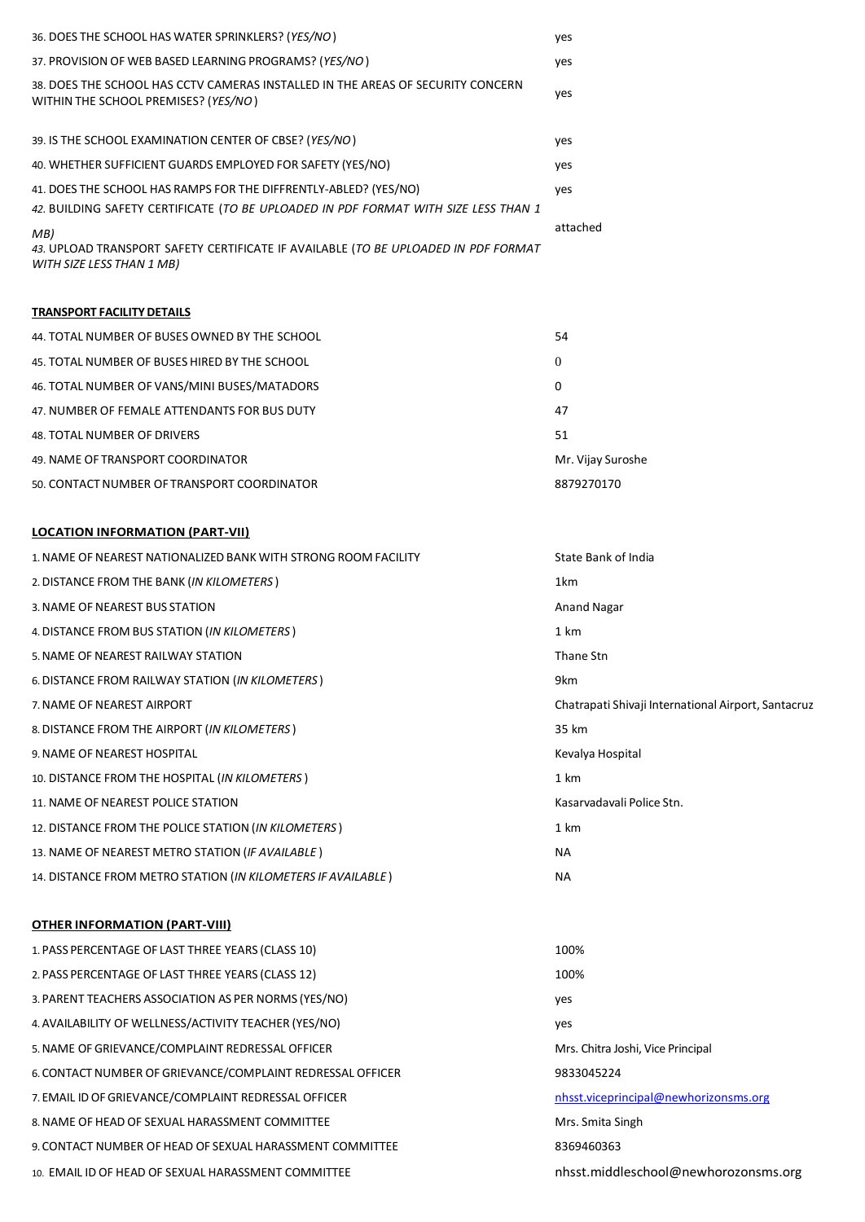| 36. DOES THE SCHOOL HAS WATER SPRINKLERS? (YES/NO)                                                                      | yes      |
|-------------------------------------------------------------------------------------------------------------------------|----------|
| 37. PROVISION OF WEB BASED LEARNING PROGRAMS? (YES/NO)                                                                  | yes      |
| 38. DOES THE SCHOOL HAS CCTV CAMERAS INSTALLED IN THE AREAS OF SECURITY CONCERN<br>WITHIN THE SCHOOL PREMISES? (YES/NO) | yes      |
| 39. IS THE SCHOOL EXAMINATION CENTER OF CBSE? (YES/NO)                                                                  | yes      |
|                                                                                                                         |          |
| 40. WHETHER SUFFICIENT GUARDS EMPLOYED FOR SAFETY (YES/NO)                                                              | yes      |
| 41. DOES THE SCHOOL HAS RAMPS FOR THE DIFFRENTLY-ABLED? (YES/NO)                                                        | yes      |
| 42. BUILDING SAFETY CERTIFICATE (TO BE UPLOADED IN PDF FORMAT WITH SIZE LESS THAN 1                                     |          |
| MB)                                                                                                                     | attached |
| 43. UPLOAD TRANSPORT SAFETY CERTIFICATE IF AVAILABLE (TO BE UPLOADED IN PDF FORMAT<br>WITH SIZE LESS THAN 1 MB)         |          |
|                                                                                                                         |          |

# **TRANSPORT FACILITYDETAILS**

| 44. TOTAL NUMBER OF BUSES OWNED BY THE SCHOOL | 54                |
|-----------------------------------------------|-------------------|
| 45. TOTAL NUMBER OF BUSES HIRED BY THE SCHOOL | $\overline{0}$    |
| 46. TOTAL NUMBER OF VANS/MINI BUSES/MATADORS  | 0                 |
| 47. NUMBER OF FEMALE ATTENDANTS FOR BUS DUTY  | 47                |
| 48. TOTAL NUMBER OF DRIVERS                   | 51                |
| 49. NAME OF TRANSPORT COORDINATOR             | Mr. Vijay Suroshe |
| 50. CONTACT NUMBER OF TRANSPORT COORDINATOR   | 8879270170        |

## **LOCATION INFORMATION (PART-VII)**

| 1. NAME OF NEAREST NATIONALIZED BANK WITH STRONG ROOM FACILITY | State Bank of India                                 |
|----------------------------------------------------------------|-----------------------------------------------------|
| 2. DISTANCE FROM THE BANK (IN KILOMETERS)                      | 1km                                                 |
| 3. NAME OF NEAREST BUS STATION                                 | <b>Anand Nagar</b>                                  |
| 4. DISTANCE FROM BUS STATION (IN KILOMETERS)                   | 1 km                                                |
| 5. NAME OF NEAREST RAILWAY STATION                             | Thane Stn                                           |
| 6. DISTANCE FROM RAILWAY STATION (IN KILOMETERS)               | 9km                                                 |
| 7. NAME OF NEAREST AIRPORT                                     | Chatrapati Shivaji International Airport, Santacruz |
| 8. DISTANCE FROM THE AIRPORT (IN KILOMETERS)                   | 35 km                                               |
| 9. NAME OF NEAREST HOSPITAL                                    | Kevalya Hospital                                    |
| 10. DISTANCE FROM THE HOSPITAL (IN KILOMETERS)                 | 1 km                                                |
| 11. NAME OF NEAREST POLICE STATION                             | Kasaryadayali Police Stn.                           |
| 12. DISTANCE FROM THE POLICE STATION (IN KILOMETERS)           | 1 km                                                |
| 13. NAME OF NEAREST METRO STATION (IF AVAILABLE)               | NА                                                  |
| 14. DISTANCE FROM METRO STATION (IN KILOMETERS IF AVAILABLE)   | <b>NA</b>                                           |

## **OTHER INFORMATION (PART-VIII)**

| 1. PASS PERCENTAGE OF LAST THREE YEARS (CLASS 10)          | 100%                                  |
|------------------------------------------------------------|---------------------------------------|
| 2. PASS PERCENTAGE OF LAST THREE YEARS (CLASS 12)          | 100%                                  |
| 3. PARENT TEACHERS ASSOCIATION AS PER NORMS (YES/NO)       | yes                                   |
| 4. AVAILABILITY OF WELLNESS/ACTIVITY TEACHER (YES/NO)      | yes                                   |
| 5. NAME OF GRIEVANCE/COMPLAINT REDRESSAL OFFICER           | Mrs. Chitra Joshi, Vice Principal     |
| 6. CONTACT NUMBER OF GRIEVANCE/COMPLAINT REDRESSAL OFFICER | 9833045224                            |
| 7. EMAIL ID OF GRIEVANCE/COMPLAINT REDRESSAL OFFICER       | nhsst.viceprincipal@newhorizonsms.org |
| 8. NAME OF HEAD OF SEXUAL HARASSMENT COMMITTEE             | Mrs. Smita Singh                      |
| 9. CONTACT NUMBER OF HEAD OF SEXUAL HARASSMENT COMMITTEE   | 8369460363                            |
| 10. EMAIL ID OF HEAD OF SEXUAL HARASSMENT COMMITTEE        | nhsst.middleschool@newhorozonsms.org  |
|                                                            |                                       |